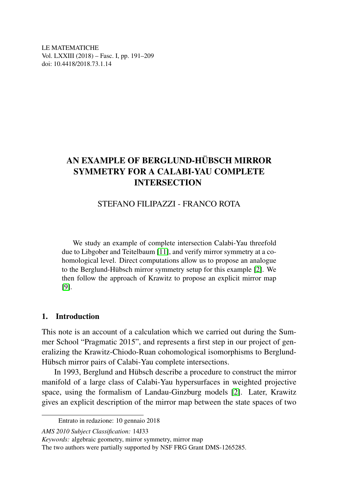LE MATEMATICHE Vol. LXXIII (2018) – Fasc. I, pp. 191–209 doi: 10.4418/2018.73.1.14

# AN EXAMPLE OF BERGLUND-HÜBSCH MIRROR SYMMETRY FOR A CALABI-YAU COMPLETE INTERSECTION

# STEFANO FILIPAZZI - FRANCO ROTA

We study an example of complete intersection Calabi-Yau threefold due to Libgober and Teitelbaum [\[11\]](#page-18-0), and verify mirror symmetry at a cohomological level. Direct computations allow us to propose an analogue to the Berglund-Hübsch mirror symmetry setup for this example [\[2\]](#page-18-1). We then follow the approach of Krawitz to propose an explicit mirror map [\[9\]](#page-18-2).

## 1. Introduction

This note is an account of a calculation which we carried out during the Summer School "Pragmatic 2015", and represents a first step in our project of generalizing the Krawitz-Chiodo-Ruan cohomological isomorphisms to Berglund-Hübsch mirror pairs of Calabi-Yau complete intersections.

In 1993, Berglund and Hübsch describe a procedure to construct the mirror manifold of a large class of Calabi-Yau hypersurfaces in weighted projective space, using the formalism of Landau-Ginzburg models [\[2\]](#page-18-1). Later, Krawitz gives an explicit description of the mirror map between the state spaces of two

Entrato in redazione: 10 gennaio 2018

*AMS 2010 Subject Classification:* 14J33

*Keywords:* algebraic geometry, mirror symmetry, mirror map

The two authors were partially supported by NSF FRG Grant DMS-1265285.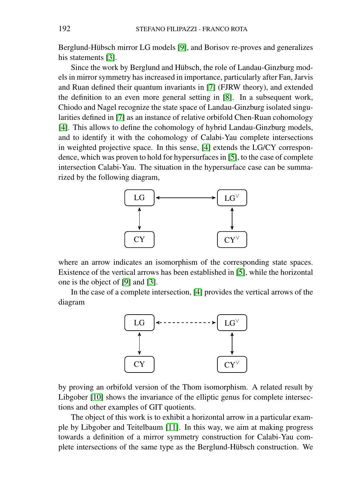Berglund-Hübsch mirror LG models [\[9\]](#page-18-2), and Borisov re-proves and generalizes his statements [\[3\]](#page-18-3).

Since the work by Berglund and Hübsch, the role of Landau-Ginzburg models in mirror symmetry has increased in importance, particularly after Fan, Jarvis and Ruan defined their quantum invariants in [\[7\]](#page-18-4) (FJRW theory), and extended the definition to an even more general setting in [\[8\]](#page-18-5). In a subsequent work, Chiodo and Nagel recognize the state space of Landau-Ginzburg isolated singularities defined in [\[7\]](#page-18-4) as an instance of relative orbifold Chen-Ruan cohomology [\[4\]](#page-18-6). This allows to define the cohomology of hybrid Landau-Ginzburg models, and to identify it with the cohomology of Calabi-Yau complete intersections in weighted projective space. In this sense, [\[4\]](#page-18-6) extends the LG/CY correspondence, which was proven to hold for hypersurfaces in [\[5\]](#page-18-7), to the case of complete intersection Calabi-Yau. The situation in the hypersurface case can be summarized by the following diagram,



where an arrow indicates an isomorphism of the corresponding state spaces. Existence of the vertical arrows has been established in [\[5\]](#page-18-7), while the horizontal one is the object of [\[9\]](#page-18-2) and [\[3\]](#page-18-3).

In the case of a complete intersection, [\[4\]](#page-18-6) provides the vertical arrows of the diagram



by proving an orbifold version of the Thom isomorphism. A related result by Libgober [\[10\]](#page-18-8) shows the invariance of the elliptic genus for complete intersections and other examples of GIT quotients.

The object of this work is to exhibit a horizontal arrow in a particular example by Libgober and Teitelbaum [\[11\]](#page-18-0). In this way, we aim at making progress towards a definition of a mirror symmetry construction for Calabi-Yau complete intersections of the same type as the Berglund-Hübsch construction. We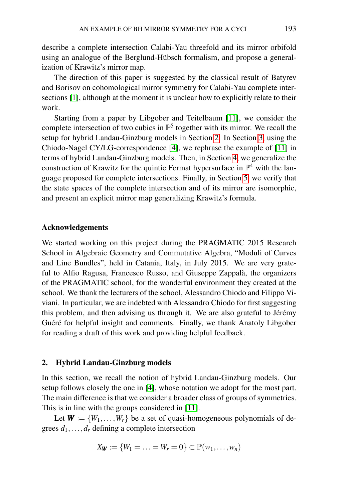describe a complete intersection Calabi-Yau threefold and its mirror orbifold using an analogue of the Berglund-Hübsch formalism, and propose a generalization of Krawitz's mirror map.

The direction of this paper is suggested by the classical result of Batyrev and Borisov on cohomological mirror symmetry for Calabi-Yau complete intersections [\[1\]](#page-18-9), although at the moment it is unclear how to explicitly relate to their work.

Starting from a paper by Libgober and Teitelbaum [\[11\]](#page-18-0), we consider the complete intersection of two cubics in  $\mathbb{P}^5$  together with its mirror. We recall the setup for hybrid Landau-Ginzburg models in Section [2.](#page-2-0) In Section [3,](#page-5-0) using the Chiodo-Nagel CY/LG-correspondence [\[4\]](#page-18-6), we rephrase the example of [\[11\]](#page-18-0) in terms of hybrid Landau-Ginzburg models. Then, in Section [4,](#page-6-0) we generalize the construction of Krawitz for the quintic Fermat hypersurface in  $\mathbb{P}^4$  with the language proposed for complete intersections. Finally, in Section [5,](#page-9-0) we verify that the state spaces of the complete intersection and of its mirror are isomorphic, and present an explicit mirror map generalizing Krawitz's formula.

## Acknowledgements

We started working on this project during the PRAGMATIC 2015 Research School in Algebraic Geometry and Commutative Algebra, "Moduli of Curves and Line Bundles", held in Catania, Italy, in July 2015. We are very grateful to Alfio Ragusa, Francesco Russo, and Giuseppe Zappalà, the organizers of the PRAGMATIC school, for the wonderful environment they created at the school. We thank the lecturers of the school, Alessandro Chiodo and Filippo Viviani. In particular, we are indebted with Alessandro Chiodo for first suggesting this problem, and then advising us through it. We are also grateful to Jérémy Guéré for helpful insight and comments. Finally, we thank Anatoly Libgober for reading a draft of this work and providing helpful feedback.

## <span id="page-2-0"></span>2. Hybrid Landau-Ginzburg models

In this section, we recall the notion of hybrid Landau-Ginzburg models. Our setup follows closely the one in [\[4\]](#page-18-6), whose notation we adopt for the most part. The main difference is that we consider a broader class of groups of symmetries. This is in line with the groups considered in [\[11\]](#page-18-0).

Let  $W := \{W_1, \ldots, W_r\}$  be a set of quasi-homogeneous polynomials of degrees  $d_1, \ldots, d_r$  defining a complete intersection

$$
X_{\mathbf{W}} \coloneqq \{W_1 = \ldots = W_r = 0\} \subset \mathbb{P}(w_1, \ldots, w_n)
$$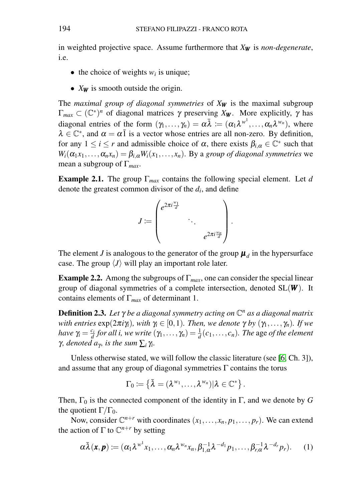in weighted projective space. Assume furthermore that *X<sup>W</sup>* is *non-degenerate*, i.e.

- the choice of weights  $w_i$  is unique;
- *X<sub>W</sub>* is smooth outside the origin.

The *maximal group of diagonal symmetries* of *X<sup>W</sup>* is the maximal subgroup  $\Gamma_{max} \subset (\mathbb{C}^*)^n$  of diagonal matrices  $\gamma$  preserving  $X_{\mathbf{W}}$ . More explicitly,  $\gamma$  has diagonal entries of the form  $(\gamma_1, \ldots, \gamma_n) = \alpha \bar{\lambda} := (\alpha_1 \lambda^{w^1}, \ldots, \alpha_n \lambda^{w_n})$ , where  $\lambda \in \mathbb{C}^*$ , and  $\alpha = \alpha \overline{1}$  is a vector whose entries are all non-zero. By definition, for any  $1 \le i \le r$  and admissible choice of  $\alpha$ , there exists  $\beta_{i,\alpha} \in \mathbb{C}^*$  such that  $W_i(\alpha_1 x_1, \ldots, \alpha_n x_n) = \beta_{i,\alpha} W_i(x_1, \ldots, x_n)$ . By a *group of diagonal symmetries* we mean a subgroup of Γ*max*.

<span id="page-3-0"></span>Example 2.1. The group Γ*max* contains the following special element. Let *d* denote the greatest common divisor of the *d<sup>i</sup>* , and define

$$
J \coloneqq \begin{pmatrix} e^{2\pi i \frac{w_1}{d}} & & \\ & \ddots & \\ & & e^{2\pi i \frac{w_n}{d}} \end{pmatrix}.
$$

The element *J* is analogous to the generator of the group  $\boldsymbol{\mu}_d$  in the hypersurface case. The group  $\langle J \rangle$  will play an important role later.

**Example 2.2.** Among the subgroups of  $\Gamma_{max}$ , one can consider the special linear group of diagonal symmetries of a complete intersection, denoted SL(*W* ). It contains elements of Γ*max* of determinant 1.

<span id="page-3-2"></span>Definition 2.3. *Let* γ *be a diagonal symmetry acting on* C *<sup>n</sup> as a diagonal matrix with entries*  $\exp(2\pi i \gamma_i)$ *, with*  $\gamma_i \in [0,1)$ *. Then, we denote*  $\gamma$  *by*  $(\gamma_1, \dots, \gamma_n)$ *. If we have*  $\gamma_i = \frac{c_i}{d}$  *for all i, we write*  $(\gamma_1, \dots, \gamma_n) = \frac{1}{d}(c_1, \dots, c_n)$ *. The age of the element γ*, denoted  $a<sub>γ</sub>$ , is the sum  $\sum_i \gamma_i$ .

Unless otherwise stated, we will follow the classic literature (see [\[6,](#page-18-10) Ch. 3]), and assume that any group of diagonal symmetries  $\Gamma$  contains the torus

$$
\Gamma_0 \coloneqq \left\{ \bar{\lambda} = (\lambda^{w_1}, \ldots, \lambda^{w_n}) | \lambda \in \mathbb{C}^* \right\}.
$$

Then,  $\Gamma_0$  is the connected component of the identity in  $\Gamma$ , and we denote by *G* the quotient  $\Gamma/\Gamma_0$ .

Now, consider  $\mathbb{C}^{n+r}$  with coordinates  $(x_1,...,x_n, p_1,...,p_r)$ . We can extend the action of  $\Gamma$  to  $\mathbb{C}^{n+r}$  by setting

<span id="page-3-1"></span>
$$
\alpha\bar{\lambda}(\boldsymbol{x},\boldsymbol{p}) \coloneqq (\alpha_1\lambda^{w^1}x_1,\ldots,\alpha_n\lambda^{w_n}x_n,\beta_{1,\alpha}^{-1}\lambda^{-d_1}p_1,\ldots,\beta_{r,\alpha}^{-1}\lambda^{-d_r}p_r). \qquad (1)
$$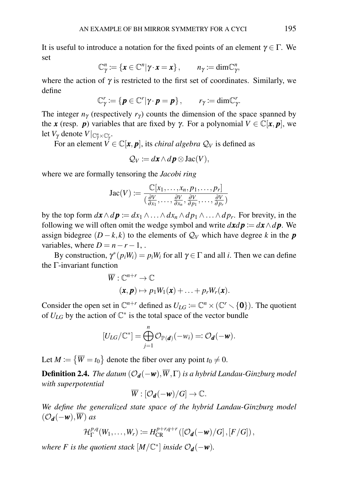It is useful to introduce a notation for the fixed points of an element  $\gamma \in \Gamma$ . We set

$$
\mathbb{C}^n_{\gamma} := \{\mathbf{x} \in \mathbb{C}^n | \gamma \cdot \mathbf{x} = \mathbf{x}\}, \qquad n_{\gamma} := \dim \mathbb{C}^n_{\gamma},
$$

where the action of  $\gamma$  is restricted to the first set of coordinates. Similarly, we define

$$
\mathbb{C}^r_{\gamma} := \{\boldsymbol{p} \in \mathbb{C}^r | \gamma \cdot \boldsymbol{p} = \boldsymbol{p}\}, \qquad r_{\gamma} := \dim \mathbb{C}^r_{\gamma}.
$$

The integer  $n_\gamma$  (respectively  $r_\gamma$ ) counts the dimension of the space spanned by the *x* (resp. *p*) variables that are fixed by *γ*. For a polynomial  $V \in \mathbb{C}[x, p]$ , we let *V*<sub>γ</sub> denote *V* |<sub>Cη × Cŗ</sub>.

For an element  $V \in \mathbb{C}[\mathbf{x}, \mathbf{p}]$ , its *chiral algebra*  $\mathcal{Q}_V$  is defined as

$$
Q_V := d\boldsymbol{x} \wedge d\boldsymbol{p} \otimes \operatorname{Jac}(V),
$$

where we are formally tensoring the *Jacobi ring*

$$
Jac(V) := \frac{\mathbb{C}[x_1,\ldots,x_n,p_1,\ldots,p_r]}{(\frac{\partial V}{\partial x_1},\ldots,\frac{\partial V}{\partial x_n},\frac{\partial V}{\partial p_1},\ldots,\frac{\partial V}{\partial p_r})}
$$

by the top form  $d\mathbf{x} \wedge d\mathbf{p} := dx_1 \wedge \ldots \wedge dx_n \wedge dp_1 \wedge \ldots \wedge dp_r$ . For brevity, in the following we will often omit the wedge symbol and write  $dxdp := dx \wedge d p$ . We assign bidegree  $(D - k, k)$  to the elements of  $Q_V$  which have degree *k* in the *p* variables, where  $D = n - r - 1$ ,.

By construction,  $\gamma^*(p_iW_i) = p_iW_i$  for all  $\gamma \in \Gamma$  and all *i*. Then we can define the Γ-invariant function

$$
\overline{W}: \mathbb{C}^{n+r} \to \mathbb{C}
$$
  
 $(\mathbf{x}, \mathbf{p}) \mapsto p_1 W_1(\mathbf{x}) + \ldots + p_r W_r(\mathbf{x}).$ 

Consider the open set in  $\mathbb{C}^{n+r}$  defined as  $U_{LG} := \mathbb{C}^n \times (\mathbb{C}^r \setminus \{0\})$ . The quotient of  $U_{LG}$  by the action of  $\mathbb{C}^*$  is the total space of the vector bundle

$$
[U_{LG}/\mathbb{C}^*] = \bigoplus_{j=1}^n \mathcal{O}_{\mathbb{P}(\boldsymbol{d})}(-w_i) =: \mathcal{O}_{\boldsymbol{d}}(-\boldsymbol{w}).
$$

Let  $M := \{ \overline{W} = t_0 \}$  denote the fiber over any point  $t_0 \neq 0$ .

**Definition 2.4.** *The datum*  $(\mathcal{O}_d(-w), \overline{W}, \Gamma)$  *is a hybrid Landau-Ginzburg model with superpotential*

$$
\overline{W}:[\mathcal{O}_{\boldsymbol{d}}(-\boldsymbol{w})/G]\to\mathbb{C}.
$$

*We define the generalized state space of the hybrid Landau-Ginzburg model*  $(\mathcal{O}_d(-w), \overline{W})$  *as* 

$$
\mathcal{H}_{\Gamma}^{p,q}(W_1,\ldots,W_r) := H_{\text{CR}}^{p+r,q+r}\left(\left[\mathcal{O}_{\boldsymbol{d}}(-\boldsymbol{w})/G\right],\left[F/G\right]\right),\,
$$

*where F* is the quotient stack  $[M/\mathbb{C}^*]$  inside  $\mathcal{O}_d(-w)$ .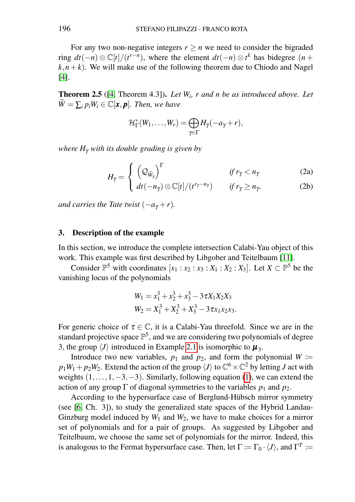For any two non-negative integers  $r > n$  we need to consider the bigraded *ring*  $dt(-n) \otimes \mathbb{C}[t]/(t^{r-n})$ *, where the element*  $dt(-n) \otimes t^k$  *has bidegree (<i>n* +  $(k, n+k)$ . We will make use of the following theorem due to Chiodo and Nagel [\[4\]](#page-18-6).

<span id="page-5-1"></span>Theorem 2.5 ([\[4,](#page-18-6) Theorem 4.3]). *Let W<sup>i</sup> , r and n be as introduced above. Let*  $W = \sum_{i} p_i W_i \in \mathbb{C}[\mathbf{x}, \mathbf{p}]$ *. Then, we have* 

$$
\mathcal{H}_{\Gamma}^*(W_1,\ldots,W_r)=\bigoplus_{\gamma\in\Gamma}H_{\gamma}(-a_{\gamma}+r),
$$

<span id="page-5-2"></span>*where H*<sup>γ</sup> *with its double grading is given by*

$$
H_{\gamma} = \begin{cases} \left(\mathcal{Q}_{\widetilde{W}_{\gamma}}\right)^{\Gamma} & \text{if } r_{\gamma} < n_{\gamma} \\ dt(-n_{\gamma}) \otimes \mathbb{C}[t]/(t^{r_{\gamma} - n_{\gamma}}) & \text{if } r_{\gamma} \ge n_{\gamma}. \end{cases}
$$
 (2a)

*and carries the Tate twist*  $(-a<sub>\gamma</sub> + r)$ *.* 

## <span id="page-5-0"></span>3. Description of the example

In this section, we introduce the complete intersection Calabi-Yau object of this work. This example was first described by Libgober and Teitelbaum [\[11\]](#page-18-0).

Consider  $\mathbb{P}^5$  with coordinates  $[x_1 : x_2 : x_3 : X_1 : X_2 : X_3]$ . Let  $X \subset \mathbb{P}^5$  be the vanishing locus of the polynomials

$$
W_1 = x_1^3 + x_2^3 + x_3^3 - 3\tau X_1 X_2 X_3
$$
  
\n
$$
W_2 = X_1^3 + X_2^3 + X_3^3 - 3\tau X_1 X_2 X_3.
$$

For generic choice of  $\tau \in \mathbb{C}$ , it is a Calabi-Yau threefold. Since we are in the standard projective space  $\mathbb{P}^5$ , and we are considering two polynomials of degree 3, the group  $\langle J \rangle$  introduced in Example [2.1](#page-3-0) is isomorphic to  $\mu_3$ .

Introduce two new variables,  $p_1$  and  $p_2$ , and form the polynomial  $W :=$  $p_1W_1 + p_2W_2$ . Extend the action of the group  $\langle J \rangle$  to  $\mathbb{C}^6 \times \mathbb{C}^2$  by letting *J* act with weights  $(1, \ldots, 1, -3, -3)$ . Similarly, following equation [\(1\)](#page-3-1), we can extend the action of any group  $\Gamma$  of diagonal symmetries to the variables  $p_1$  and  $p_2$ .

According to the hypersurface case of Berglund-Hübsch mirror symmetry (see [\[6,](#page-18-10) Ch. 3]), to study the generalized state spaces of the Hybrid Landau-Ginzburg model induced by  $W_1$  and  $W_2$ , we have to make choices for a mirror set of polynomials and for a pair of groups. As suggested by Libgober and Teitelbaum, we choose the same set of polynomials for the mirror. Indeed, this is analogous to the Fermat hypersurface case. Then, let  $\Gamma \coloneqq \Gamma_0 \cdot \langle J \rangle$ , and  $\Gamma^T \coloneqq$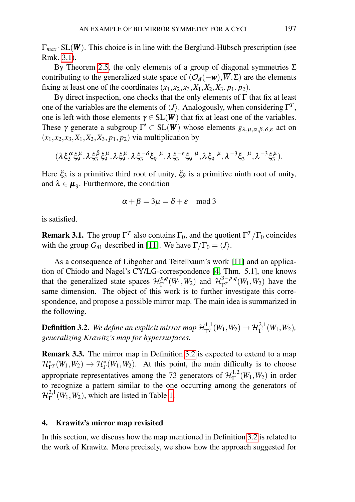$\Gamma_{max}$  · SL(W). This choice is in line with the Berglund-Hübsch prescription (see Rmk. [3.1\)](#page-6-1).

By Theorem [2.5,](#page-5-1) the only elements of a group of diagonal symmetries  $\Sigma$ contributing to the generalized state space of  $(\mathcal{O}_d(-w), \overline{W}, \Sigma)$  are the elements fixing at least one of the coordinates  $(x_1, x_2, x_3, X_1, X_2, X_3, p_1, p_2)$ .

By direct inspection, one checks that the only elements of  $\Gamma$  that fix at least one of the variables are the elements of  $\langle J \rangle$ . Analogously, when considering  $\Gamma^T$ , one is left with those elements  $\gamma \in SL(W)$  that fix at least one of the variables. These  $\gamma$  generate a subgroup  $\Gamma' \subset SL(W)$  whose elements  $g_{\lambda,\mu,\alpha,\beta,\delta,\varepsilon}$  act on  $(x_1, x_2, x_3, X_1, X_2, X_3, p_1, p_2)$  via multiplication by

$$
(\lambda \xi_3^{\alpha} \xi_9^{\mu}, \lambda \xi_3^{\beta} \xi_9^{\mu}, \lambda \xi_9^{\mu}, \lambda \xi_3^{-\delta} \xi_9^{-\mu}, \lambda \xi_3^{-\epsilon} \xi_9^{-\mu}, \lambda \xi_9^{-\mu}, \lambda^{-3} \xi_3^{-\mu}, \lambda^{-3} \xi_3^{\mu}).
$$

Here  $\xi_3$  is a primitive third root of unity,  $\xi_9$  is a primitive ninth root of unity, and  $\lambda \in \mu_9$ . Furthermore, the condition

$$
\alpha + \beta = 3\mu = \delta + \varepsilon \mod 3
$$

is satisfied.

<span id="page-6-1"></span>**Remark 3.1.** The group  $\Gamma^T$  also contains  $\Gamma_0$ , and the quotient  $\Gamma^T/\Gamma_0$  coincides with the group  $G_{81}$  described in [\[11\]](#page-18-0). We have  $\Gamma/\Gamma_0 = \langle J \rangle$ .

As a consequence of Libgober and Teitelbaum's work [\[11\]](#page-18-0) and an application of Chiodo and Nagel's CY/LG-correspondence [\[4,](#page-18-6) Thm. 5.1], one knows that the generalized state spaces  $\mathcal{H}_{\Gamma}^{p,q}$  $T^{p,q}(W_1, W_2)$  and  $\mathcal{H}^{3-p,q}_{\Gamma} (W_1, W_2)$  have the same dimension. The object of this work is to further investigate this correspondence, and propose a possible mirror map. The main idea is summarized in the following.

<span id="page-6-2"></span>**Definition 3.2.** We define an explicit mirror map  $\mathcal{H}_{\Gamma}^{1,1}(W_1, W_2) \to \mathcal{H}_{\Gamma}^{2,1}(W_1, W_2)$ , *generalizing Krawitz's map for hypersurfaces.*

Remark 3.3. The mirror map in Definition [3.2](#page-6-2) is expected to extend to a map  $\mathcal{H}_{\Gamma}^*(W_1, W_2) \to \mathcal{H}_{\Gamma}^*(W_1, W_2)$ . At this point, the main difficulty is to choose appropriate representatives among the 73 generators of  $\mathcal{H}_{\Gamma}^{1,2}$  $\int_{\Gamma}^{1,2}(W_1, W_2)$  in order to recognize a pattern similar to the one occurring among the generators of  $\mathcal{H}^{2,1}_\Gamma$  $\Gamma^{2,1}(W_1, W_2)$ , which are listed in Table [1.](#page-16-0)

## <span id="page-6-0"></span>4. Krawitz's mirror map revisited

In this section, we discuss how the map mentioned in Definition [3.2](#page-6-2) is related to the work of Krawitz. More precisely, we show how the approach suggested for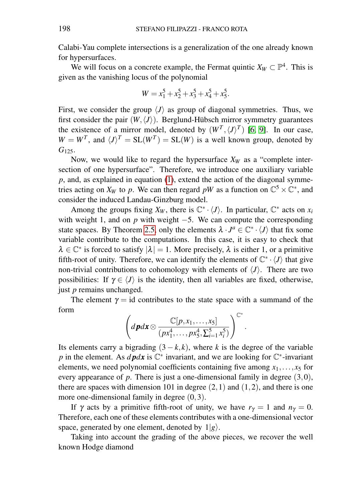Calabi-Yau complete intersections is a generalization of the one already known for hypersurfaces.

We will focus on a concrete example, the Fermat quintic  $X_W \subset \mathbb{P}^4$ . This is given as the vanishing locus of the polynomial

$$
W = x_1^5 + x_2^5 + x_3^5 + x_4^5 + x_5^5.
$$

First, we consider the group  $\langle J \rangle$  as group of diagonal symmetries. Thus, we first consider the pair  $(W, \langle J \rangle)$ . Berglund-Hübsch mirror symmetry guarantees the existence of a mirror model, denoted by  $(W^T, \langle J \rangle^T)$  [\[6,](#page-18-10) [9\]](#page-18-2). In our case,  $W = W^T$ , and  $\langle J \rangle^T = SL(W^T) = SL(W)$  is a well known group, denoted by G<sub>125</sub>.

Now, we would like to regard the hypersurface  $X_W$  as a "complete intersection of one hypersurface". Therefore, we introduce one auxiliary variable *p*, and, as explained in equation [\(1\)](#page-3-1), extend the action of the diagonal symmetries acting on  $X_W$  to p. We can then regard pW as a function on  $\mathbb{C}^5 \times \mathbb{C}^*$ , and consider the induced Landau-Ginzburg model.

Among the groups fixing  $X_W$ , there is  $\mathbb{C}^* \cdot \langle J \rangle$ . In particular,  $\mathbb{C}^*$  acts on  $x_i$ with weight 1, and on *p* with weight −5. We can compute the corresponding state spaces. By Theorem [2.5,](#page-5-1) only the elements  $\lambda \cdot J^a \in \mathbb{C}^* \cdot \langle J \rangle$  that fix some variable contribute to the computations. In this case, it is easy to check that  $\lambda \in \mathbb{C}^*$  is forced to satisfy  $|\lambda| = 1$ . More precisely,  $\lambda$  is either 1, or a primitive fifth-root of unity. Therefore, we can identify the elements of  $\mathbb{C}^* \cdot \langle J \rangle$  that give non-trivial contributions to cohomology with elements of  $\langle J \rangle$ . There are two possibilities: If  $\gamma \in \langle J \rangle$  is the identity, then all variables are fixed, otherwise, just *p* remains unchanged.

The element  $\gamma = id$  contributes to the state space with a summand of the form ∗

$$
\left(d\mathbf{p}d\mathbf{x}\otimes\frac{\mathbb{C}[p,x_1,\ldots,x_5]}{(px_1^4,\ldots, px_5^4,\sum_{i=1}^5 x_i^5)}\right)^{\mathbb{C}^*}
$$

.

Its elements carry a bigrading  $(3 - k, k)$ , where *k* is the degree of the variable *p* in the element. As *d* pdx is  $\mathbb{C}^*$  invariant, and we are looking for  $\mathbb{C}^*$ -invariant elements, we need polynomial coefficients containing five among  $x_1, \ldots, x_5$  for every appearance of *p*. There is just a one-dimensional family in degree (3,0), there are spaces with dimension 101 in degree  $(2,1)$  and  $(1,2)$ , and there is one more one-dimensional family in degree  $(0,3)$ .

If  $\gamma$  acts by a primitive fifth-root of unity, we have  $r_{\gamma} = 1$  and  $n_{\gamma} = 0$ . Therefore, each one of these elements contributes with a one-dimensional vector space, generated by one element, denoted by  $1|g\rangle$ .

Taking into account the grading of the above pieces, we recover the well known Hodge diamond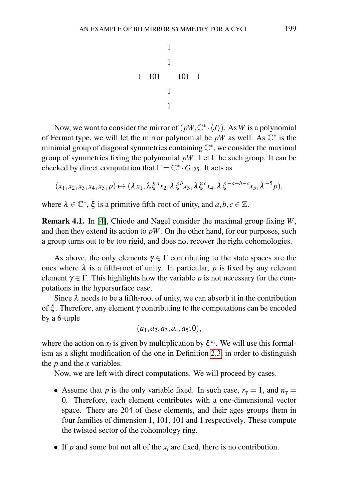1 1 1 1 1 101 101 1

Now, we want to consider the mirror of  $(pW, \mathbb{C}^*, \langle J \rangle)$ . As *W* is a polynomial of Fermat type, we will let the mirror polynomial be  $pW$  as well. As  $\mathbb{C}^*$  is the minimial group of diagonal symmetries containing  $\mathbb{C}^*$ , we consider the maximal group of symmetries fixing the polynomial  $pW$ . Let  $\Gamma$  be such group. It can be checked by direct computation that  $\Gamma = \mathbb{C}^* \cdot G_{125}$ . It acts as

$$
(x_1,x_2,x_3,x_4,x_5,p)\mapsto(\lambda x_1,\lambda\xi^a x_2,\lambda\xi^b x_3,\lambda\xi^c x_4,\lambda\xi^{-a-b-c}x_5,\lambda^{-5}p),
$$

where  $\lambda \in \mathbb{C}^*$ ,  $\xi$  is a primitive fifth-root of unity, and  $a, b, c \in \mathbb{Z}$ .

Remark 4.1. In [\[4\]](#page-18-6), Chiodo and Nagel consider the maximal group fixing *W*, and then they extend its action to  $pW$ . On the other hand, for our purposes, such a group turns out to be too rigid, and does not recover the right cohomologies.

As above, the only elements  $\gamma \in \Gamma$  contributing to the state spaces are the ones where  $\lambda$  is a fifth-root of unity. In particular, p is fixed by any relevant element  $\gamma \in \Gamma$ . This highlights how the variable p is not necessary for the computations in the hypersurface case.

Since  $\lambda$  needs to be a fifth-root of unity, we can absorb it in the contribution of  $\xi$ . Therefore, any element  $\gamma$  contributing to the computations can be encoded by a 6-tuple

$$
(a_1,a_2,a_3,a_4,a_5;0),
$$

where the action on  $x_i$  is given by multiplication by  $\xi^{a_i}$ . We will use this formalism as a slight modification of the one in Definition [2.3,](#page-3-2) in order to distinguish the *p* and the *x* variables.

Now, we are left with direct computations. We will proceed by cases.

- Assume that *p* is the only variable fixed. In such case,  $r_{\gamma} = 1$ , and  $n_{\gamma} =$ 0. Therefore, each element contributes with a one-dimensional vector space. There are 204 of these elements, and their ages groups them in four families of dimension 1, 101, 101 and 1 respectively. These compute the twisted sector of the cohomology ring.
- If  $p$  and some but not all of the  $x_i$  are fixed, there is no contribution.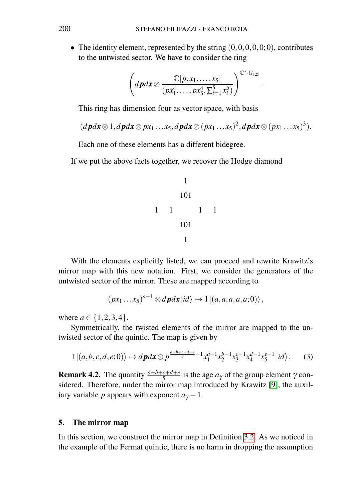• The identity element, represented by the string  $(0,0,0,0,0,0)$ , contributes to the untwisted sector. We have to consider the ring

$$
\left(d\boldsymbol{p}d\boldsymbol{x}\otimes\frac{\mathbb{C}[p,x_1,\ldots,x_5]}{(px_1^4,\ldots, px_5^4,\sum_{i=1}^5 x_i^5)}\right)^{\mathbb{C}^*\cdot G_{125}}
$$

.

This ring has dimension four as vector space, with basis

$$
(dpdx\otimes 1, dpdx\otimes px_1...x_5, dpdx\otimes (px_1...x_5)^2, dpdx\otimes (px_1...x_5)^3).
$$

Each one of these elements has a different bidegree.

If we put the above facts together, we recover the Hodge diamond

1 101 101 1 1 1 1 1

With the elements explicitly listed, we can proceed and rewrite Krawitz's mirror map with this new notation. First, we consider the generators of the untwisted sector of the mirror. These are mapped according to

$$
(px_1...x_5)^{a-1}\otimes d\mathbf{p}d\mathbf{x}|id\rangle \mapsto 1|(a,a,a,a,a;0)\rangle,
$$

where  $a \in \{1, 2, 3, 4\}$ .

Symmetrically, the twisted elements of the mirror are mapped to the untwisted sector of the quintic. The map is given by

<span id="page-9-1"></span>
$$
1|(a,b,c,d,e;0)\rangle \mapsto d\,p dx \otimes p^{\frac{a+b+c+d+e}{5}-1} x_1^{a-1} x_2^{b-1} x_3^{c-1} x_4^{d-1} x_5^{e-1} |id\rangle. \tag{3}
$$

**Remark 4.2.** The quantity  $\frac{a+b+c+d+e}{5}$  is the age  $a_\gamma$  of the group element  $\gamma$  considered. Therefore, under the mirror map introduced by Krawitz [\[9\]](#page-18-2), the auxiliary variable *p* appears with exponent  $a<sub>\gamma</sub> - 1$ .

## <span id="page-9-0"></span>5. The mirror map

In this section, we construct the mirror map in Definition [3.2.](#page-6-2) As we noticed in the example of the Fermat quintic, there is no harm in dropping the assumption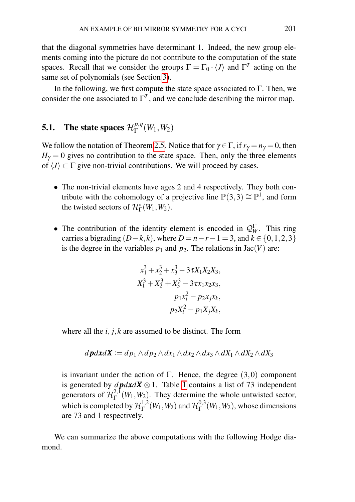that the diagonal symmetries have determinant 1. Indeed, the new group elements coming into the picture do not contribute to the computation of the state spaces. Recall that we consider the groups  $\Gamma = \Gamma_0 \cdot \langle J \rangle$  and  $\Gamma^T$  acting on the same set of polynomials (see Section [3\)](#page-5-0).

In the following, we first compute the state space associated to  $\Gamma$ . Then, we consider the one associated to  $\Gamma^T$ , and we conclude describing the mirror map.

#### 5.1. The state spaces  $\mathcal{H}_{\Gamma}^{p,q}$  $_{\Gamma}^{p,q}(W_1,W_2)$

We follow the notation of Theorem [2.5.](#page-5-1) Notice that for  $\gamma \in \Gamma$ , if  $r_{\gamma} = n_{\gamma} = 0$ , then  $H_{\gamma} = 0$  gives no contribution to the state space. Then, only the three elements of  $\langle J \rangle \subset \Gamma$  give non-trivial contributions. We will proceed by cases.

- The non-trivial elements have ages 2 and 4 respectively. They both contribute with the cohomology of a projective line  $\mathbb{P}(3,3) \cong \mathbb{P}^1$ , and form the twisted sectors of  $\mathcal{H}_{\Gamma}^{*}(W_1, W_2)$ .
- The contribution of the identity element is encoded in  $\mathcal{Q}_{W}^{\Gamma}$ . This ring carries a bigrading  $(D-k, k)$ , where  $D = n - r - 1 = 3$ , and  $k \in \{0, 1, 2, 3\}$ is the degree in the variables  $p_1$  and  $p_2$ . The relations in Jac(*V*) are:

$$
x_1^3 + x_2^3 + x_3^3 - 3\tau X_1 X_2 X_3,
$$
  
\n
$$
X_1^3 + X_2^3 + X_3^3 - 3\tau x_1 x_2 x_3,
$$
  
\n
$$
p_1 x_i^2 - p_2 x_j x_k,
$$
  
\n
$$
p_2 X_i^2 - p_1 X_j X_k,
$$

where all the  $i, j, k$  are assumed to be distinct. The form

$$
d\mathbf{p}d\mathbf{x}d\mathbf{X} \coloneqq dp_1 \wedge dp_2 \wedge dx_1 \wedge dx_2 \wedge dx_3 \wedge dX_1 \wedge dX_2 \wedge dX_3
$$

is invariant under the action of Γ. Hence, the degree  $(3,0)$  component is generated by  $d\mathbf{p}d\mathbf{x}d\mathbf{X} \otimes 1$  $d\mathbf{p}d\mathbf{x}d\mathbf{X} \otimes 1$ . Table 1 contains a list of 73 independent generators of  $\mathcal{H}_{\Gamma}^{2,1}$  $\Gamma^{2,1}(W_1, W_2)$ . They determine the whole untwisted sector, which is completed by  $\mathcal{H}_{\Gamma}^{1,2}$  $_{\Gamma}^{1,2}(W_1,W_2)$  and  $\mathcal{H}_{\Gamma}^{0,3}$  $_{\Gamma}^{0,5}(W_1,W_2)$ , whose dimensions are 73 and 1 respectively.

We can summarize the above computations with the following Hodge diamond.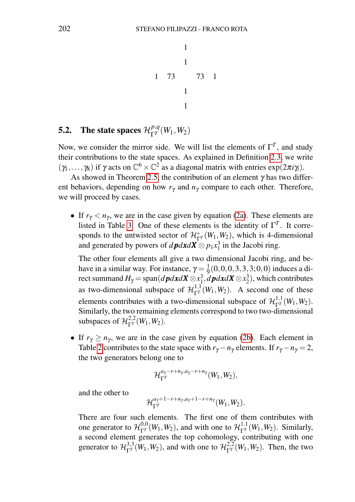$$
\begin{array}{ccc}\n & 1 \\
& 1 \\
& 1 \\
& 1 \\
& 1 \\
& 1\n\end{array}
$$

## 5.2. The state spaces  $\mathcal{H}_{\Gamma^{T}}^{p,q}$  $\frac{P,q}{\Gamma^T}(W_1,W_2)$

Now, we consider the mirror side. We will list the elements of  $\Gamma^T$ , and study their contributions to the state spaces. As explained in Definition [2.3,](#page-3-2) we write  $(\gamma_1,\ldots,\gamma_8)$  if  $\gamma$  acts on  $\mathbb{C}^6 \times \mathbb{C}^2$  as a diagonal matrix with entries  $\exp(2\pi i \gamma_i)$ .

As showed in Theorem [2.5,](#page-5-1) the contribution of an element  $\gamma$  has two different behaviors, depending on how  $r<sub>\gamma</sub>$  and  $n<sub>\gamma</sub>$  compare to each other. Therefore, we will proceed by cases.

• If  $r_\gamma < n_\gamma$ , we are in the case given by equation [\(2a\)](#page-5-2). These elements are listed in Table [3.](#page-16-0) One of these elements is the identity of  $\Gamma^T$ . It corresponds to the untwisted sector of  $\mathcal{H}_{\Gamma}^*(W_1, W_2)$ , which is 4-dimensional and generated by powers of  $d$ *pdxd***X** $\otimes$   $p_1x_1^3$  in the Jacobi ring.

The other four elements all give a two dimensional Jacobi ring, and behave in a similar way. For instance,  $\gamma = \frac{1}{9}(0, 0, 0, 3, 3, 3, 0, 0)$  induces a direct summand  $H_{\gamma} = \text{span}(d\boldsymbol{p}d\boldsymbol{x}d\boldsymbol{X} \otimes x_1^3, d\boldsymbol{p}d\boldsymbol{x}d\boldsymbol{X} \otimes x_2^3)$ , which contributes as two-dimensional subspace of  $\mathcal{H}^{1,1}_{\Gamma^T}(W_1, W_2)$ . A second one of these elements contributes with a two-dimensional subspace of  $\mathcal{H}_{\Gamma}^{1,1}(W_1, W_2)$ . Similarly, the two remaining elements correspond to two two-dimensional subspaces of  $\mathcal{H}_{\Gamma^T}^{2,2}(W_1, W_2)$ .

• If  $r_\gamma \geq n_\gamma$ , we are in the case given by equation [\(2b\)](#page-5-2). Each element in Table [2](#page-16-0) contributes to the state space with  $r_{\gamma} - n_{\gamma}$  elements. If  $r_{\gamma} - n_{\gamma} = 2$ , the two generators belong one to

$$
\mathcal{H}_{\Gamma^T}^{a_{\gamma}-r+n_{\gamma},a_{\gamma}-r+n_{\gamma}}(W_1,W_2),
$$

and the other to

$$
\mathcal{H}^{a_\gamma+1-r+n_\gamma,a_\gamma+1-r+n_\gamma}_{\Gamma^T}(W_1,W_2).
$$

There are four such elements. The first one of them contributes with one generator to  $\mathcal{H}_{\Gamma^T}^{0,0}(W_1, W_2)$ , and with one to  $\mathcal{H}_{\Gamma^T}^{1,1}(W_1, W_2)$ . Similarly, a second element generates the top cohomology, contributing with one generator to  $\mathcal{H}_{\Gamma}^{3,3}(W_1, W_2)$ , and with one to  $\mathcal{H}_{\Gamma}^{2,2}(W_1, W_2)$ . Then, the two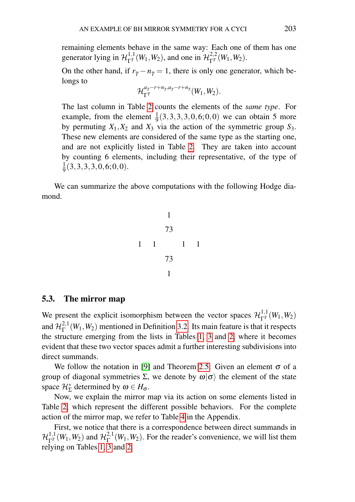remaining elements behave in the same way: Each one of them has one generator lying in  $\mathcal{H}_{\Gamma^T}^{1,1}(W_1, W_2)$ , and one in  $\mathcal{H}_{\Gamma^T}^{2,2}(W_1, W_2)$ .

On the other hand, if  $r_{\gamma} - n_{\gamma} = 1$ , there is only one generator, which belongs to

$$
\mathcal{H}_{\Gamma^T}^{a_{\gamma}-r+n_{\gamma},a_{\gamma}-r+n_{\gamma}}(W_1,W_2).
$$

The last column in Table [2](#page-16-0) counts the elements of the *same type*. For example, from the element  $\frac{1}{9}(3,3,3,3,0,6;0,0)$  we can obtain 5 more by permuting  $X_1, X_2$  and  $X_3$  via the action of the symmetric group  $S_3$ . These new elements are considered of the same type as the starting one, and are not explicitly listed in Table [2.](#page-16-0) They are taken into account by counting 6 elements, including their representative, of the type of 1  $\frac{1}{9}(3,3,3,3,0,6;0,0).$ 

We can summarize the above computations with the following Hodge diamond.

1 73 73 1 1 1 1 1

## 5.3. The mirror map

We present the explicit isomorphism between the vector spaces  $\mathcal{H}^{1,1}_{\Gamma} (W_1, W_2)$ and  $\mathcal{H}^{2,1}_\Gamma$  $\Gamma^{2,1}(W_1, W_2)$  mentioned in Definition [3.2.](#page-6-2) Its main feature is that it respects the structure emerging from the lists in Tables [1, 3](#page-16-0) and [2,](#page-16-0) where it becomes evident that these two vector spaces admit a further interesting subdivisions into direct summands.

We follow the notation in [\[9\]](#page-18-2) and Theorem [2.5:](#page-5-1) Given an element  $\sigma$  of a group of diagonal symmetries  $\Sigma$ , we denote by  $\omega|\sigma\rangle$  the element of the state space  $\mathcal{H}_{\Sigma}^{*}$  determined by  $\omega \in H_{\sigma}$ .

Now, we explain the mirror map via its action on some elements listed in Table [2,](#page-16-0) which represent the different possible behaviors. For the complete action of the mirror map, we refer to Table [4](#page-17-0) in the Appendix.

First, we notice that there is a correspondence between direct summands in  $\mathcal{H}_{\Gamma^T}^{1,1}(W_1,W_2)$  and  $\mathcal{H}_{\Gamma}^{2,1}$  $\Gamma^{2,1}(W_1, W_2)$ . For the reader's convenience, we will list them relying on Tables [1, 3](#page-16-0) and [2.](#page-16-0)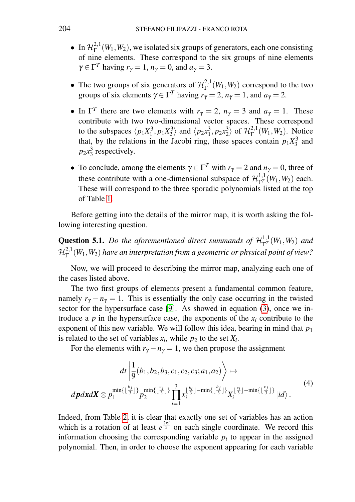- In  $\mathcal{H}_{\Gamma}^{2,1}(W_1, W_2)$ , we isolated six groups of generators, each one consisting  $E[\Gamma_{\{1\}}, \Gamma_{\{2\}}]$ , we isolated six groups of generators, call the consisting of nine elements. These correspond to the six groups of nine elements  $\gamma \in \Gamma^T$  having  $r_{\gamma} = 1$ ,  $n_{\gamma} = 0$ , and  $a_{\gamma} = 3$ .
- The two groups of six generators of  $\mathcal{H}_{\Gamma}^{2,1}(W_1, W_2)$  correspond to the two groups of six elements  $\gamma \in \Gamma^T$  having  $r_{\gamma} = 2$ ,  $n_{\gamma} = 1$ , and  $a_{\gamma} = 2$ .
- In  $\Gamma^T$  there are two elements with  $r_\gamma = 2$ ,  $n_\gamma = 3$  and  $a_\gamma = 1$ . These contribute with two two-dimensional vector spaces. These correspond to the subspaces  $\langle p_1 X_1^3, p_1 X_2^3 \rangle$  and  $\langle p_2 x_1^3, p_2 x_2^3 \rangle$  of  $\mathcal{H}_{\Gamma}^{2,1}$  $\Gamma^{2,1}(W_1,W_2)$ . Notice that, by the relations in the Jacobi ring, these spaces contain  $p_1X_3^3$  and  $p_2x_3^3$  respectively.
- To conclude, among the elements  $\gamma \in \Gamma^T$  with  $r_{\gamma} = 2$  and  $n_{\gamma} = 0$ , three of these contribute with a one-dimensional subspace of  $\mathcal{H}_{\Gamma}^{1,1}(W_1, W_2)$  each. These will correspond to the three sporadic polynomials listed at the top of Table [1.](#page-16-0)

Before getting into the details of the mirror map, it is worth asking the following interesting question.

**Question 5.1.** *Do the aforementioned direct summands of*  $\mathcal{H}^{1,1}_{\Gamma} (W_1, W_2)$  *and*  $\mathcal{H}^{2,1}_\Gamma$ Γ (*W*1,*W*2) *have an interpretation from a geometric or physical point of view?*

Now, we will proceed to describing the mirror map, analyzing each one of the cases listed above.

The two first groups of elements present a fundamental common feature, namely  $r_{\gamma} - n_{\gamma} = 1$ . This is essentially the only case occurring in the twisted sector for the hypersurface case [\[9\]](#page-18-2). As showed in equation [\(3\)](#page-9-1), once we introduce a  $p$  in the hypersurface case, the exponents of the  $x_i$  contribute to the exponent of this new variable. We will follow this idea, bearing in mind that  $p_1$ is related to the set of variables  $x_i$ , while  $p_2$  to the set  $X_i$ .

For the elements with  $r_{\gamma} - n_{\gamma} = 1$ , we then propose the assignment

<span id="page-13-0"></span>
$$
dt \left| \frac{1}{9}(b_1, b_2, b_3, c_1, c_2, c_3; a_1, a_2) \right\rangle \mapsto
$$
  
\n
$$
d\mathbf{p}d\mathbf{x}d\mathbf{X} \otimes p_1^{\min\{\lfloor \frac{b_j}{3} \rfloor\}} p_2^{\min\{\lfloor \frac{c_j}{3} \rfloor\}} \prod_{i=1}^3 x_i^{\lfloor \frac{b_i}{3} \rfloor - \min\{\lfloor \frac{b_j}{3} \rfloor\}} X_i^{\lfloor \frac{c_i}{3} \rfloor - \min\{\lfloor \frac{c_j}{3} \rfloor\}} |id \rangle.
$$
\n(4)

Indeed, from Table [2,](#page-16-0) it is clear that exactly one set of variables has an action which is a rotation of at least  $e^{\frac{2\pi i}{3}}$  on each single coordinate. We record this information choosing the corresponding variable  $p_i$  to appear in the assigned polynomial. Then, in order to choose the exponent appearing for each variable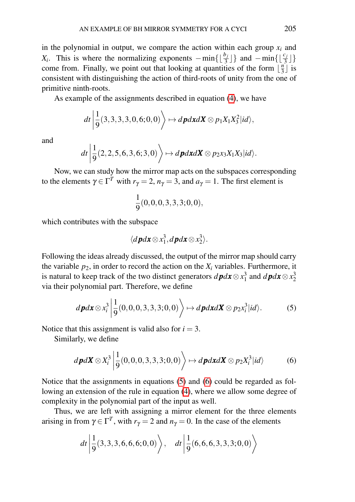in the polynomial in output, we compare the action within each group  $x_i$  and *X<sub>i</sub>*. This is where the normalizing exponents  $-\min\{\lfloor \frac{b_j}{3} \rfloor\}$  and  $-\min\{\lfloor \frac{c_j}{3} \rfloor\}$ come from. Finally, we point out that looking at quantities of the form  $\lfloor \frac{n}{3} \rfloor$  $\frac{n}{3}$  is consistent with distinguishing the action of third-roots of unity from the one of primitive ninth-roots.

As example of the assignments described in equation [\(4\)](#page-13-0), we have

$$
dt \left| \frac{1}{9}(3,3,3,3,0,6;0,0) \right\rangle \mapsto d\boldsymbol{p} d\boldsymbol{x} d\boldsymbol{X} \otimes p_1 X_1 X_3^2 |id\rangle,
$$

and

$$
dt \left| \frac{1}{9}(2,2,5,6,3,6;3,0) \right\rangle \mapsto d\mathbf{p} d\mathbf{x} d\mathbf{X} \otimes p_2 x_3 X_1 X_3 |id \rangle.
$$

Now, we can study how the mirror map acts on the subspaces corresponding to the elements  $\gamma \in \Gamma^T$  with  $r_{\gamma} = 2$ ,  $n_{\gamma} = 3$ , and  $a_{\gamma} = 1$ . The first element is

$$
\frac{1}{9}(0,0,0,3,3,3;0,0),
$$

which contributes with the subspace

$$
\langle d\boldsymbol{p} d\boldsymbol{x} \otimes x_1^3, d\boldsymbol{p} d\boldsymbol{x} \otimes x_2^3 \rangle.
$$

Following the ideas already discussed, the output of the mirror map should carry the variable  $p_2$ , in order to record the action on the  $X_i$  variables. Furthermore, it is natural to keep track of the two distinct generators  $d\mathbf{p}d\mathbf{x} \otimes x_1^3$  and  $d\mathbf{p}d\mathbf{x} \otimes x_2^3$ via their polynomial part. Therefore, we define

<span id="page-14-0"></span>
$$
d\boldsymbol{p}d\boldsymbol{x}\otimes x_i^3\bigg|\frac{1}{9}(0,0,0,3,3,3;0,0)\bigg\rangle\mapsto d\boldsymbol{p}d\boldsymbol{x}d\boldsymbol{X}\otimes p_2x_i^3\big|id\rangle.\tag{5}
$$

Notice that this assignment is valid also for  $i = 3$ .

Similarly, we define

<span id="page-14-1"></span>
$$
d\boldsymbol{p}d\boldsymbol{X}\otimes X_i^3\left|\frac{1}{9}(0,0,0,3,3,3;0,0)\right\rangle\mapsto d\boldsymbol{p}d\boldsymbol{x}d\boldsymbol{X}\otimes p_2X_i^3|id\rangle\tag{6}
$$

Notice that the assignments in equations [\(5\)](#page-14-0) and [\(6\)](#page-14-1) could be regarded as following an extension of the rule in equation [\(4\)](#page-13-0), where we allow some degree of complexity in the polynomial part of the input as well.

Thus, we are left with assigning a mirror element for the three elements arising in from  $\gamma \in \Gamma^T$ , with  $r_{\gamma} = 2$  and  $n_{\gamma} = 0$ . In the case of the elements

$$
dt \left| \frac{1}{9}(3,3,3,6,6,6;0,0) \right\rangle, \quad dt \left| \frac{1}{9}(6,6,6,3,3,3;0,0) \right\rangle
$$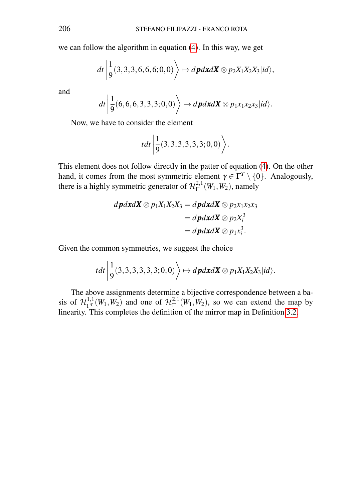we can follow the algorithm in equation [\(4\)](#page-13-0). In this way, we get

$$
dt \left| \frac{1}{9}(3,3,3,6,6,6,6,0,0) \right\rangle \mapsto d\boldsymbol{p} d\boldsymbol{x} d\boldsymbol{X} \otimes p_2 X_1 X_2 X_3 |id\rangle,
$$

and

$$
dt \left| \frac{1}{9}(6, 6, 6, 3, 3, 3; 0, 0) \right\rangle \mapsto d\boldsymbol{p} d\boldsymbol{x} d\boldsymbol{X} \otimes p_1 x_1 x_2 x_3 |id \rangle.
$$

Now, we have to consider the element

$$
tdt\bigg|\frac{1}{9}(3,3,3,3,3,3,3;0,0)\bigg\rangle.
$$

This element does not follow directly in the patter of equation [\(4\)](#page-13-0). On the other hand, it comes from the most symmetric element  $\gamma \in \Gamma^T \setminus \{0\}$ . Analogously, there is a highly symmetric generator of  $\mathcal{H}_{\Gamma}^{2,1}$  $\int_{\Gamma}^{2,1}(W_1,W_2)$ , namely

$$
d\mathbf{p}d\mathbf{x}d\mathbf{X}\otimes p_1X_1X_2X_3 = d\mathbf{p}d\mathbf{x}d\mathbf{X}\otimes p_2x_1x_2x_3
$$
  
=  $d\mathbf{p}d\mathbf{x}d\mathbf{X}\otimes p_2X_i^3$   
=  $d\mathbf{p}d\mathbf{x}d\mathbf{X}\otimes p_1x_i^3$ .

Given the common symmetries, we suggest the choice

$$
tdt\left|\frac{1}{9}(3,3,3,3,3,3,3,0,0)\right\rangle \mapsto d\boldsymbol{p}d\boldsymbol{x}d\boldsymbol{X}\otimes p_1X_1X_2X_3|id\rangle.
$$

The above assignments determine a bijective correspondence between a basis of  $\mathcal{H}_{\Gamma}^{1,1}(W_1, W_2)$  and one of  $\mathcal{H}_{\Gamma}^{2,1}$  $\Gamma^{2,1}(W_1, W_2)$ , so we can extend the map by linearity. This completes the definition of the mirror map in Definition [3.2.](#page-6-2)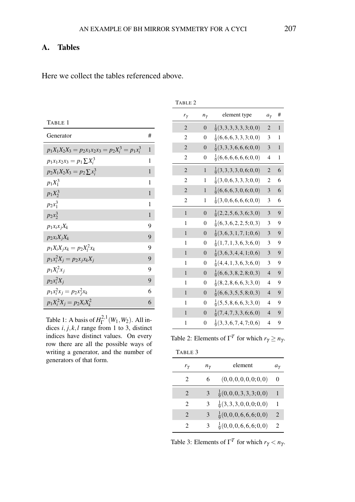TABLE 2

# A. Tables

<span id="page-16-0"></span>Here we collect the tables referenced above.

| TABLE 1                                             |              |
|-----------------------------------------------------|--------------|
| Generator                                           | #            |
| $p_1X_1X_2X_3 = p_2x_1x_2x_3 = p_2X_i^3 = p_1x_i^3$ | $\mathbf{1}$ |
| $p_1x_1x_2x_3 = p_1 \sum X_i^3$                     | 1            |
| $p_2X_1X_2X_3 = p_2\sum x_i^3$                      | $\mathbf{1}$ |
| $p_1 X_1^3$                                         | 1            |
| $p_1X_2^3$                                          | $\mathbf{1}$ |
| $p_2x_1^3$                                          | 1            |
| $p_2x_2^3$                                          | $\mathbf{1}$ |
| $p_1x_ix_jX_k$                                      | 9            |
| $p_2x_iX_jX_k$                                      | 9            |
| $p_1 X_i X_j x_k = p_2 X_i^2 x_k$                   | 9            |
| $p_1x_i^2X_j = p_2x_jx_kX_j$                        | 9            |
| $p_1X_i^2x_i$                                       | 9            |
| $p_2x_i^2X_j$                                       | 9            |
| $p_1x_i^2x_j = p_2x_i^2x_k$                         | 6            |
| $p_1X_i^2X_j = p_2X_iX_k^2$                         | 6            |

Table 1: A basis of  $H_{\Gamma}^{2,1}(W_1, W_2)$ . All indices *i*, *j*, *k*,*l* range from 1 to 3, distinct indices have distinct values. On every row there are all the possible ways of writing a generator, and the number of generators of that form.

| $r_\gamma$     | $n_\gamma$     | element type                   | $a_{\gamma}$   | #            |
|----------------|----------------|--------------------------------|----------------|--------------|
| $\overline{2}$ | $\overline{0}$ | $\frac{1}{9}(3,3,3,3,3,3;0,0)$ | $\overline{2}$ | $\mathbf{1}$ |
| $\overline{2}$ | 0              | $\frac{1}{9}(6,6,6,3,3,3;0,0)$ | 3              | 1            |
| $\overline{2}$ | $\overline{0}$ | $\frac{1}{9}(3,3,3,6,6,6,0,0)$ | 3              | 1            |
| 2              | 0              | $\frac{1}{9}(6,6,6,6,6,6;0,0)$ | 4              | 1            |
| $\overline{2}$ | $\mathbf{1}$   | $\frac{1}{9}(3,3,3,3,0,6;0,0)$ | $\overline{2}$ | 6            |
| $\overline{c}$ | 1              | $\frac{1}{9}(3,0,6,3,3,3;0,0)$ | $\overline{c}$ | 6            |
| $\overline{2}$ | $\mathbf{1}$   | $\frac{1}{9}(6,6,6,3,0,6;0,0)$ | 3              | 6            |
| $\overline{2}$ | 1              | $\frac{1}{9}(3,0,6,6,6,6;0,0)$ | 3              | 6            |
| $\mathbf{1}$   | $\Omega$       | $\frac{1}{9}(2,2,5,6,3,6;3,0)$ | 3              | 9            |
| 1              | $\Omega$       | $\frac{1}{9}(6,3,6,2,2,5;0,3)$ | 3              | 9            |
| 1              | $\overline{0}$ | $\frac{1}{9}(3,6,3,1,7,1;0,6)$ | 3              | 9            |
| 1              | 0              | $\frac{1}{9}(1,7,1,3,6,3;6,0)$ | 3              | 9            |
| 1              | $\Omega$       | $\frac{1}{9}(3,6,3,4,4,1;0,6)$ | 3              | 9            |
| 1              | $\theta$       | $\frac{1}{9}(4,4,1,3,6,3;6,0)$ | 3              | 9            |
| $\mathbf{1}$   | $\Omega$       | $\frac{1}{9}(6,6,3,8,2,8;0,3)$ | 4              | 9            |
| 1              | $\Omega$       | $\frac{1}{9}(8,2,8,6,6,3;3,0)$ | $\overline{4}$ | 9            |
| 1              | $\Omega$       | $\frac{1}{9}(6,6,3,5,5,8;0,3)$ | $\overline{4}$ | 9            |
| 1              | $\theta$       | $\frac{1}{9}(5,5,8,6,6,3;3,0)$ | $\overline{4}$ | 9            |
| 1              | $\Omega$       | $\frac{1}{9}(7,4,7,3,3,6;6,0)$ | $\overline{4}$ | 9            |
| 1              | 0              | $\frac{1}{9}(3,3,6,7,4,7;0,6)$ | 4              | 9            |

Table 2: Elements of  $\Gamma^T$  for which  $r_\gamma \geq n_\gamma$ .

| TABLE 3                     |              |                                |           |
|-----------------------------|--------------|--------------------------------|-----------|
| $r_{\gamma}$                | $n_{\gamma}$ | element                        | $a_{\nu}$ |
| $\mathcal{D}_{\mathcal{L}}$ | 6            | (0,0,0,0,0,0;0,0)              | $\theta$  |
| $\mathcal{D}_{\cdot}$       | 3            | $\frac{1}{9}(0,0,0,3,3,3;0,0)$ | 1         |
| 2                           | 3            | $\frac{1}{9}(3,3,3,0,0,0;0,0)$ | 1         |
| $\mathcal{D}_{\cdot}$       | 3            | $\frac{1}{9}(0,0,0,6,6,6;0,0)$ | 2         |
| 2                           | 3            | $\frac{1}{9}(0,0,0,6,6,6;0,0)$ | 2         |

Table 3: Elements of  $\Gamma^T$  for which  $r_\gamma < n_\gamma$ .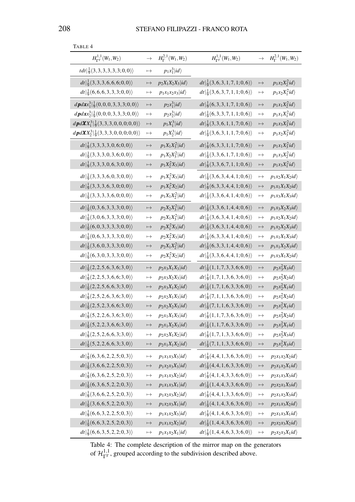| $H_{\Gamma^T}^{1,1}(W_1,W_2)$                                       | $\rightarrow$ | $H^{2,1}_\Gamma(W_1,W_2)$ | $H_{\Gamma^T}^{1,1}(W_1,W_2)$                      | $\rightarrow$ | $H^{2,1}_\Gamma(W_1,W_2)$ |
|---------------------------------------------------------------------|---------------|---------------------------|----------------------------------------------------|---------------|---------------------------|
| $tdt\vert\frac{1}{9}(3,3,3,3,3,3;0,0)\rangle$                       | $\mapsto$     | $p_1x_1^3 id\rangle$      |                                                    |               |                           |
| $dt   \frac{1}{9}(3,3,3,6,6,6,0,0) \rangle$                         | $\mapsto$     | $p_2X_1X_2X_3 id\rangle$  | $dt   \frac{1}{9}(3,6,3,1,7,1;0,6) \rangle$        | $\mapsto$     | $p_1x_2X_2^2id\rangle$    |
| $dt   \frac{1}{9}(6, 6, 6, 3, 3, 3, 0, 0) \rangle$                  | $\mapsto$     | $p_1x_1x_2x_3 id\rangle$  | $dt   \frac{1}{9}(3,6,3,7,1,1;0,6) \rangle$        | $\mapsto$     | $p_1x_2X_1^2id\rangle$    |
| $d\mathbf{p}d\mathbf{x}x_1^3 \frac{1}{9}(0,0,0,3,3,3,3;0,0)\rangle$ | $\mapsto$     | $p_2x_1^3 id\rangle$      | $dt   \frac{1}{9}(6,3,3,1,7,1;0,6) \rangle$        | $\mapsto$     | $p_1x_1X_2^2id\rangle$    |
| $d\mathbf{p}d\mathbf{x}x_2^3\vert\frac{1}{9}(0,0,0,3,3,3;0,0)$      | $\mapsto$     | $p_2x_2^3 id\rangle$      | $dt   \frac{1}{9}(6,3,3,7,1,1;0,6) \rangle$        | $\mapsto$     | $p_1x_1X_1^2id\rangle$    |
| $d\mathbf{p}d\mathbf{X}X_1^3 \frac{1}{9}(3,3,3,0,0,0,0,0)\rangle$   | $\mapsto$     | $p_1X_1^3 id\rangle$      | $dt   \frac{1}{9}(3,3,6,1,1,7;0,6) \rangle$        | $\mapsto$     | $p_1x_3X_3^2id\rangle$    |
| $d\mathbf{p}d\mathbf{X}X_2^3 \frac{1}{9}(3,3,3,0,0,0,0,0)\rangle$   | $\mapsto$     | $p_1X_2^3 id\rangle$      | $dt   \frac{1}{9}(3,6,3,1,1,7;0,6) \rangle$        | $\mapsto$     | $p_1x_2X_3^2id\rangle$    |
| $dt   \frac{1}{9}(3,3,3,3,3,0,6;0,0) \rangle$                       | $\mapsto$     | $p_1X_1X_3^2 id\rangle$   | $dt   \frac{1}{9}(6,3,3,1,1,7;0,6) \rangle$        | $\mapsto$     | $p_1x_1X_3^2id\rangle$    |
| $dt   \frac{1}{9}(3,3,3,0,3,6;0,0) \rangle$                         | $\mapsto$     | $p_1X_2X_3^2 id\rangle$   | $dt   \frac{1}{9}(3,3,6,1,7,1;0,6) \rangle$        | $\mapsto$     | $p_1x_3X_2^2id\rangle$    |
| $dt   \frac{1}{9}(3,3,3,0,6,3;0,0) \rangle$                         | $\mapsto$     | $p_1X_2^2X_3 id\rangle$   | $dt   \frac{1}{9}(3,3,6,7,1,1;0,6) \rangle$        | $\mapsto$     | $p_1x_3X_1^2id\rangle$    |
| $dt   \frac{1}{9}(3,3,3,6,0,3;0,0) \rangle$                         | $\mapsto$     | $p_1X_1^2X_3 id\rangle$   | $dt   \frac{1}{9}(3,6,3,4,4,1;0,6) \rangle$        | $\mapsto$     | $p_1x_2X_1X_2id\rangle$   |
| $dt   \frac{1}{9}(3,3,3,6,3,0,0,0) \rangle$                         | $\mapsto$     | $p_1X_1^2X_2 id\rangle$   | $dt   \frac{1}{9}(6,3,3,4,4,1;0,6) \rangle$        | $\mapsto$     | $p_1x_1X_1X_2id\rangle$   |
| $dt   \frac{1}{9}(3,3,3,3,6,0;0,0) \rangle$                         | $\mapsto$     | $p_1X_1X_2^2 id\rangle$   | $dt   \frac{1}{9}(3,3,6,4,1,4;0,6) \rangle$        | $\mapsto$     | $p_1x_3X_1X_3id\rangle$   |
| $dt   \frac{1}{9}(0,3,6,3,3,3;0,0) \rangle$                         | $\mapsto$     | $p_2X_2X_3^2 id\rangle$   | $dt   \frac{1}{9}(3,3,6,1,4,4;0,6) \rangle$        | $\mapsto$     | $p_1x_3X_2X_3id\rangle$   |
| $dt   \frac{1}{9}(3,0,6,3,3,3;0,0) \rangle$                         | $\mapsto$     | $p_2X_1X_3^2 id\rangle$   | $dt   \frac{1}{9}(3,6,3,4,1,4;0,6) \rangle$        | $\mapsto$     | $p_1x_2X_1X_2id\rangle$   |
| $dt   \frac{1}{9}(6,0,3,3,3,3,3,0,0) \rangle$                       | $\mapsto$     | $p_2X_1^2X_3 id\rangle$   | $dt   \frac{1}{9}(3,6,3,1,4,4;0,6) \rangle$        | $\mapsto$     | $p_1x_2X_2X_3id\rangle$   |
| $dt   \frac{1}{9}(0,6,3,3,3,3;0,0) \rangle$                         | $\mapsto$     | $p_2X_2^2X_3 id\rangle$   | $dt   \frac{1}{9}(6,3,3,4,1,4;0,6) \rangle$        | $\mapsto$     | $p_1x_1X_1X_3id\rangle$   |
| $dt   \frac{1}{9}(3,6,0,3,3,3;0,0) \rangle$                         | $\mapsto$     | $p_2X_1X_2^2 id\rangle$   | $dt   \frac{1}{9}(6,3,3,1,4,4;0,6) \rangle$        | $\mapsto$     | $p_1x_1X_2X_3id\rangle$   |
| $dt   \frac{1}{9}(6,3,0,3,3,3;0,0) \rangle$                         | $\longmapsto$ | $p_2X_1^2X_2 id\rangle$   | $dt   \frac{1}{9}(3,3,6,4,4,1;0,6) \rangle$        | $\mapsto$     | $p_1x_3X_1X_2id\rangle$   |
| $dt   \frac{1}{9}(2, 2, 5, 6, 3, 6; 3, 0) \rangle$                  | $\mapsto$     | $p_2x_3X_1X_3 id\rangle$  | $dt   \frac{1}{9}(1,1,7,3,3,6;6,0) \rangle$        | $\mapsto$     | $p_2x_3^2X_3id\rangle$    |
| $dt   \frac{1}{9}(2, 2, 5, 3, 6, 6; 3, 0) \rangle$                  | $\mapsto$     | $p_2x_3X_2X_3 id\rangle$  | $dt   \frac{1}{9}(1, 7, 1, 3, 6, 3; 6, 0) \rangle$ | $\mapsto$     | $p_2x_2^2X_2id\rangle$    |
| $dt   \frac{1}{9}(2,2,5,6,6,3;3,0) \rangle$                         | $\mapsto$     | $p_2x_3X_1X_2 id\rangle$  | $dt   \frac{1}{9}(1, 7, 1, 6, 3, 3; 6, 0) \rangle$ | $\mapsto$     | $p_2x_2^2X_1id\rangle$    |
| $dt   \frac{1}{9}(2,5,2,6,3,6;3,0) \rangle$                         | $\mapsto$     | $p_2x_2X_1X_3 id\rangle$  | $dt   \frac{1}{9}(7,1,1,3,6,3;6,0) \rangle$        | $\mapsto$     | $p_2x_1^2X_2id\rangle$    |
| $dt   \frac{1}{9}(2,5,2,3,6,6;3,0) \rangle$                         | $\mapsto$     | $p_2x_2X_2X_3 id\rangle$  | $dt   \frac{1}{9}(7,1,1,6,3,3;6,0) \rangle$        | $\mapsto$     | $p_2x_1^2X_1id\rangle$    |
| $dt   \frac{1}{9}(5,2,2,6,3,6;3,0) \rangle$                         | $\mapsto$     | $p_2x_1X_1X_3 id\rangle$  | $dt   \frac{1}{9}(1,1,7,3,6,3;6,0) \rangle$        | $\mapsto$     | $p_2x_3^2X_2id\rangle$    |
| $dt   \frac{1}{9}(5,2,2,3,6,6;3,0) \rangle$                         | $\mapsto$     | $p_2x_1X_2X_3 id\rangle$  | $dt   \frac{1}{9}(1,1,7,6,3,3;6,0) \rangle$        | $\mapsto$     | $p_2x_3^2X_1id\rangle$    |
| $dt   \frac{1}{9}(2,5,2,6,6,3;3,0) \rangle$                         | $\mapsto$     | $p_2x_2X_1X_2 id\rangle$  | $dt   \frac{1}{9}(1, 7, 1, 3, 3, 6; 6, 0) \rangle$ | $\mapsto$     | $p_2x_2^2X_3id\rangle$    |
| $dt   \frac{1}{9}(5,2,2,6,6,3;3,0) \rangle$                         | $\mapsto$     | $p_2x_1X_1X_2 id\rangle$  | $dt   \frac{1}{9}(7,1,1,3,3,6;6,0) \rangle$        | $\mapsto$     | $p_2x_1^2X_3id\rangle$    |
| $dt   \frac{1}{9}(6,3,6,2,2,5;0,3) \rangle$                         | $\mapsto$     | $p_1x_1x_3x_3 id\rangle$  | $dt   \frac{1}{9}(4,4,1,3,6,3;6,0) \rangle$        | $\mapsto$     | $p_2x_1x_2X_2id\rangle$   |
| $dt   \frac{1}{9}(3,6,6,2,2,5;0,3) \rangle$                         | $\mapsto$     | $p_1x_2x_3X_3 id\rangle$  | $dt   \frac{1}{9}(4,4,1,6,3,3;6,0) \rangle$        | $\mapsto$     | $p_2x_1x_2X_1id\rangle$   |
| $dt   \frac{1}{9}(6,3,6,2,5,2;0,3) \rangle$                         | $\mapsto$     | $p_1x_1x_3X_2 id\rangle$  | $dt   \frac{1}{9}(4,1,4,3,3,6;6,0) \rangle$        | $\mapsto$     | $p_2x_1x_3x_3id\rangle$   |
| $dt   \frac{1}{9}(6,3,6,5,2,2;0,3) \rangle$                         | $\mapsto$     | $p_1x_1x_3X_1 id\rangle$  | $dt   \frac{1}{9}(1,4,4,3,3,6;6,0) \rangle$        | $\mapsto$     | $p_2x_2x_1X_3id\rangle$   |
| $dt   \frac{1}{9}(3,6,6,2,5,2;0,3) \rangle$                         | $\mapsto$     | $p_1x_2x_3X_2 id\rangle$  | $dt   \frac{1}{9}(4,4,1,3,3,6;6,0) \rangle$        | $\mapsto$     | $p_2x_1x_2X_3id\rangle$   |
| $dt   \frac{1}{9}(3,6,6,5,2,2;0,3) \rangle$                         | $\mapsto$     | $p_1x_2x_3X_1 id\rangle$  | $dt   \frac{1}{9}(4,1,4,3,6,3;6,0) \rangle$        | $\mapsto$     | $p_2x_1x_3X_2id\rangle$   |
| $dt   \frac{1}{9}(6, 6, 3, 2, 2, 5; 0, 3) \rangle$                  | $\mapsto$     | $p_1x_1x_2X_3 id\rangle$  | $dt   \frac{1}{9}(4,1,4,6,3,3;6,0) \rangle$        | $\mapsto$     | $p_2x_1x_3X_1id\rangle$   |
| $dt   \frac{1}{9}(6, 6, 3, 2, 5, 2; 0, 3) \rangle$                  | $\mapsto$     | $p_1x_1x_2X_2 id\rangle$  | $dt   \frac{1}{9}(1,4,4,3,6,3;6,0) \rangle$        | $\mapsto$     | $p_2x_2x_3X_2id\rangle$   |
| $dt   \frac{1}{9}(6, 6, 3, 5, 2, 2; 0, 3) \rangle$                  | $\mapsto$     | $p_1x_1x_2X_1 id\rangle$  | $dt   \frac{1}{9}(1,4,4,6,3,3;6,0) \rangle$        | $\mapsto$     | $p_2x_2x_3X_1id\rangle$   |

<span id="page-17-0"></span>TABLE 4

Table 4: The complete description of the mirror map on the generators of  $\mathcal{H}_{\Gamma^T}^{1,1}$ , grouped according to the subdivision described above.